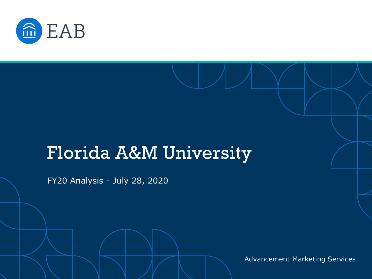

# Florida A&M University

FY20 Analysis - July 28, 2020

Advancement Marketing Services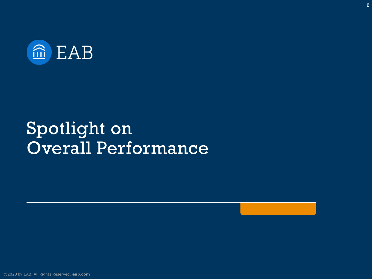

# Spotlight on Overall Performance

2

[©2020 by EAB. All Rights Reserved.](https://www.eab.com/) **eab.com**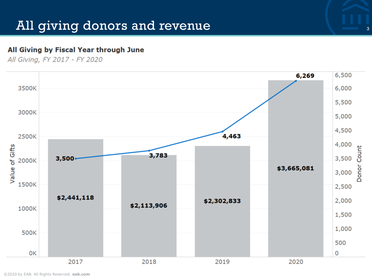#### All giving donors and revenue 30 and 30 and 30 and 30 and 30 and 30 and 30 and 30 and 30 and 30 and 30 and 30 and 30 and 30 and 30 and 30 and 30 and 30 and 30 and 30 and 30 and 30 and 30 and 30 and 30 and 30 and 30 and 30

#### All Giving by Fiscal Year through June

All Givina, FY 2017 - FY 2020



[©2020 by EAB. All Rights Reserved.](https://www.eab.com/) **eab.com**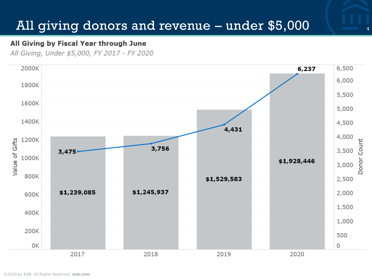### All giving donors and revenue – under \$5,000

#### All Giving by Fiscal Year through June

All Giving, Under \$5,000, FY 2017 - FY 2020

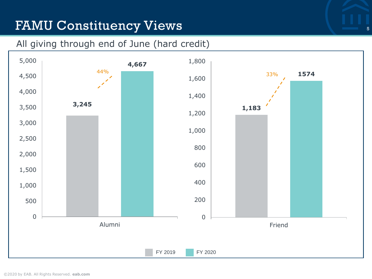## FAMU Constituency Views

#### All giving through end of June (hard credit)

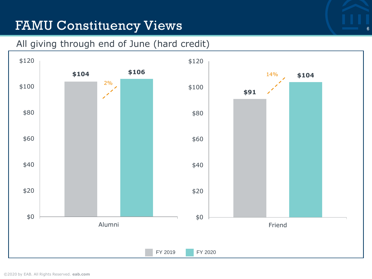## FAMU Constituency Views

#### All giving through end of June (hard credit)

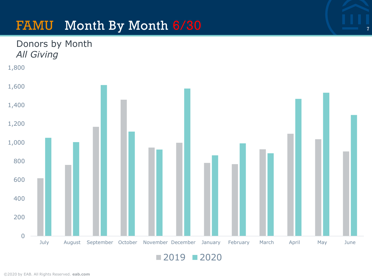#### FAMU Month By Month  $6/30$   $\frac{1}{7}$



 $2019$  2020

Donors by Month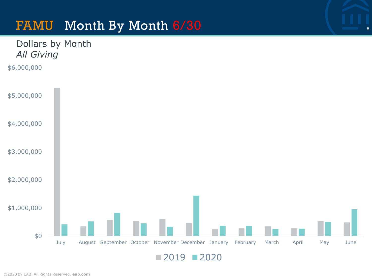#### FAMU Month By Month 6/30 <sup>8</sup>



```
2019 2020
```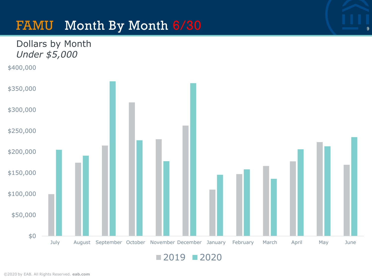#### FAMU Month By Month 6/30 <sup>9</sup>

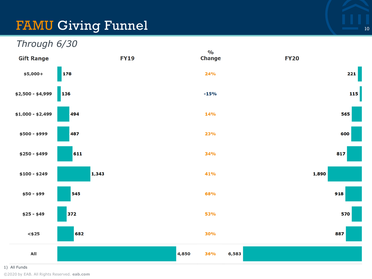### FAMU Giving Funnel and the contract of the contract of the contract of the contract of the contract of the contract of  $\mathbb{R}^n$



1) All Funds

[©2020 by EAB. All Rights Reserved.](https://www.eab.com/) **eab.com**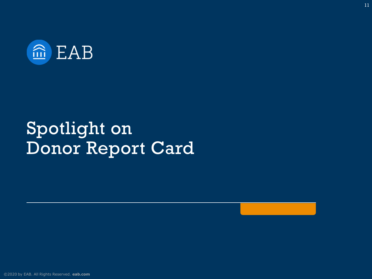

# Spotlight on Donor Report Card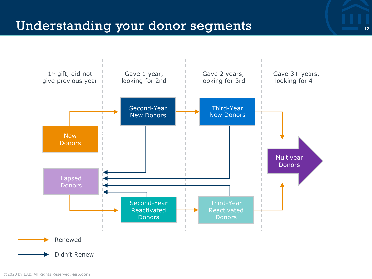

Didn't Renew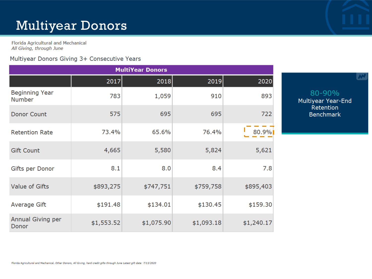## Multiyear Donors

Florida Agricultural and Mechanical All Giving, through June

#### Multiyear Donors Giving 3+ Consecutive Years

| <b>MultiYear Donors</b>                |            |            |            |            |  |  |  |  |
|----------------------------------------|------------|------------|------------|------------|--|--|--|--|
|                                        | 2017       | 2018       | 2019       | 2020       |  |  |  |  |
| <b>Beginning Year</b><br><b>Number</b> | 783        | 1,059      | 910        | 893        |  |  |  |  |
| Donor Count                            | 575        | 695        | 695        | 722        |  |  |  |  |
| <b>Retention Rate</b>                  | 73.4%      | 65.6%      | 76.4%      | 80.9%      |  |  |  |  |
| <b>Gift Count</b>                      | 4,665      | 5,580      | 5,824      | 5,621      |  |  |  |  |
| Gifts per Donor                        | 8.1        | 8.0        | 8.4        | 7.8        |  |  |  |  |
| Value of Gifts                         | \$893,275  | \$747,751  | \$759,758  | \$895,403  |  |  |  |  |
| Average Gift                           | \$191.48   | \$134.01   | \$130.45   | \$159.30   |  |  |  |  |
| Annual Giving per<br>Donor             | \$1,553.52 | \$1,075.90 | \$1,093.18 | \$1,240.17 |  |  |  |  |

80-90% Multiyear Year-End<br>Retention Benchmark

W

Florida Agricultural and Mechanical, Other Donors, All Giving, hard credit gifts through June Latest gift date: 7/13/2020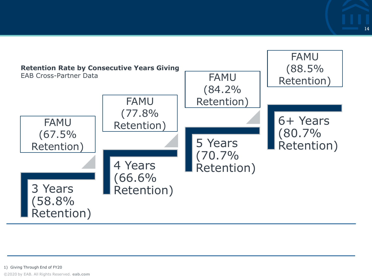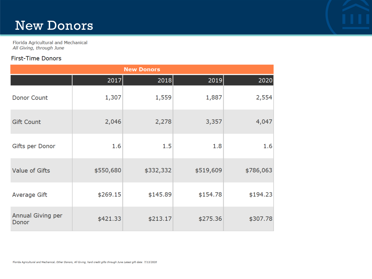#### New Donors

Florida Agricultural and Mechanical All Giving, through June

#### First-Time Donors

| <b>New Donors</b>          |           |           |           |           |  |  |  |  |
|----------------------------|-----------|-----------|-----------|-----------|--|--|--|--|
|                            | 2017      | 2018      | 2019      | 2020      |  |  |  |  |
| <b>Donor Count</b>         | 1,307     | 1,559     | 1,887     | 2,554     |  |  |  |  |
| <b>Gift Count</b>          | 2,046     | 2,278     | 3,357     | 4,047     |  |  |  |  |
| Gifts per Donor            | 1.6       | 1.5       | 1.8       | 1.6       |  |  |  |  |
| Value of Gifts             | \$550,680 | \$332,332 | \$519,609 | \$786,063 |  |  |  |  |
| Average Gift               | \$269.15  | \$145.89  | \$154.78  | \$194.23  |  |  |  |  |
| Annual Giving per<br>Donor | \$421.33  | \$213.17  | \$275.36  | \$307.78  |  |  |  |  |

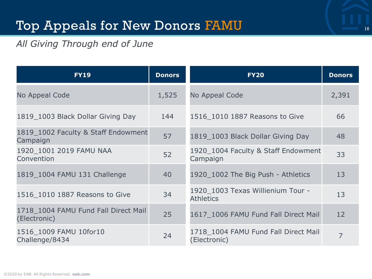### Top Appeals for New Donors FAMU 16 16 16 16

#### *All Giving Through end of June*

| <b>FY19</b>                                          | <b>Donors</b> | <b>FY20</b>                                           | <b>Donors</b>  |
|------------------------------------------------------|---------------|-------------------------------------------------------|----------------|
| No Appeal Code                                       | 1,525         | No Appeal Code                                        | 2,391          |
| 1819 1003 Black Dollar Giving Day                    | 144           | 1516 1010 1887 Reasons to Give                        | 66             |
| 1819_1002 Faculty & Staff Endowment<br>Campaign      | 57            | 1819_1003 Black Dollar Giving Day                     | 48             |
| 1920 1001 2019 FAMU NAA<br>Convention                | 52            | 1920_1004 Faculty & Staff Endowment<br>Campaign       | 33             |
| 1819 1004 FAMU 131 Challenge                         | 40            | 1920 1002 The Big Push - Athletics                    | 13             |
| 1516_1010 1887 Reasons to Give                       | 34            | 1920 1003 Texas Willienium Tour -<br><b>Athletics</b> | 13             |
| 1718 1004 FAMU Fund Fall Direct Mail<br>(Electronic) | 25            | 1617_1006 FAMU Fund Fall Direct Mail                  | 12             |
| 1516 1009 FAMU 10for10<br>Challenge/8434             | 24            | 1718 1004 FAMU Fund Fall Direct Mail<br>(Electronic)  | $\overline{7}$ |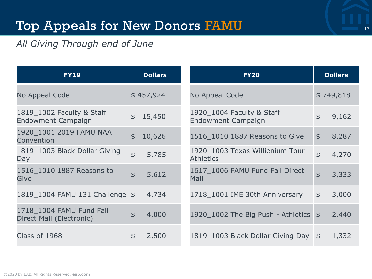### Top Appeals for New Donors FAMU 17 17

#### *All Giving Through end of June*

| <b>FY19</b>                                          |                | <b>Dollars</b> | <b>FY20</b>                                           |                   | <b>Dollars</b> |
|------------------------------------------------------|----------------|----------------|-------------------------------------------------------|-------------------|----------------|
| No Appeal Code                                       | \$457,924      |                | No Appeal Code                                        |                   | \$749,818      |
| 1819_1002 Faculty & Staff<br>Endowment Campaign      | \$15,450       |                | 1920_1004 Faculty & Staff<br>Endowment Campaign       | \$                | 9,162          |
| 1920 1001 2019 FAMU NAA<br>Convention                | $\mathfrak{P}$ | 10,626         | 1516_1010 1887 Reasons to Give                        | $\mathfrak{S}$    | 8,287          |
| 1819_1003 Black Dollar Giving<br>Day                 | $\frac{1}{2}$  | 5,785          | 1920_1003 Texas Willienium Tour -<br><b>Athletics</b> | $\ddot{\text{S}}$ | 4,270          |
| 1516 1010 1887 Reasons to<br>Give                    | $\frac{1}{2}$  | 5,612          | 1617 1006 FAMU Fund Fall Direct<br>Mail               | $\frac{1}{2}$     | 3,333          |
| 1819_1004 FAMU 131 Challenge \$                      |                | 4,734          | 1718 1001 IME 30th Anniversary                        | \$                | 3,000          |
| 1718 1004 FAMU Fund Fall<br>Direct Mail (Electronic) | $\frac{1}{2}$  | 4,000          | 1920_1002 The Big Push - Athletics \$                 |                   | 2,440          |
| Class of 1968                                        | \$             | 2,500          | 1819_1003 Black Dollar Giving Day \$                  |                   | 1,332          |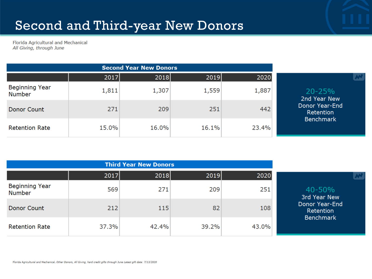## Second and Third-year New Donors

Florida Agricultural and Mechanical All Giving, through June

|                                        | 2017  | 2018  | 2019  | 2020  |                             |
|----------------------------------------|-------|-------|-------|-------|-----------------------------|
| <b>Beginning Year</b><br><b>Number</b> | 1,811 | 1,307 | 1,559 | 1,887 | $20 - 25%$<br>2nd Year New  |
| Donor Count                            | 271   | 209   | 251   | 442   | Donor Year-End<br>Retention |
| <b>Retention Rate</b>                  | 15.0% | 16.0% | 16.1% | 23.4% | <b>Benchmark</b>            |

|                                        | 2017  | 2018  | 2019  | 2020  |                             |
|----------------------------------------|-------|-------|-------|-------|-----------------------------|
| <b>Beginning Year</b><br><b>Number</b> | 569   | 271   | 209   | 251   | 40-50%<br>3rd Year New      |
| Donor Count                            | 212   | 115   | 82    | 108   | Donor Year-End<br>Retention |
| <b>Retention Rate</b>                  | 37.3% | 42.4% | 39.2% | 43.0% | <b>Benchmark</b>            |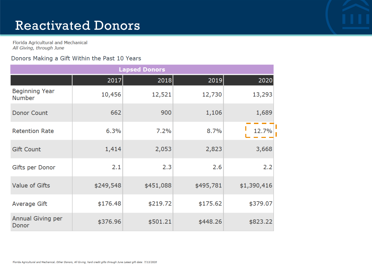#### Reactivated Donors

Florida Agricultural and Mechanical All Giving, through June

#### Donors Making a Gift Within the Past 10 Years

| <b>Lapsed Donors</b>            |           |           |           |             |  |  |  |  |  |
|---------------------------------|-----------|-----------|-----------|-------------|--|--|--|--|--|
|                                 | 2017      | 2018      | 2019      | 2020        |  |  |  |  |  |
| Beginning Year<br><b>Number</b> | 10,456    | 12,521    | 12,730    | 13,293      |  |  |  |  |  |
| Donor Count                     | 662       | 900       | 1,106     | 1,689       |  |  |  |  |  |
| <b>Retention Rate</b>           | 6.3%      | 7.2%      | 8.7%      | 12.7%       |  |  |  |  |  |
| <b>Gift Count</b>               | 1,414     | 2,053     | 2,823     | 3,668       |  |  |  |  |  |
| Gifts per Donor                 | 2.1       | 2.3       | 2.6       | 2.2         |  |  |  |  |  |
| Value of Gifts                  | \$249,548 | \$451,088 | \$495,781 | \$1,390,416 |  |  |  |  |  |
| Average Gift                    | \$176.48  | \$219.72  | \$175.62  | \$379.07    |  |  |  |  |  |
| Annual Giving per<br>Donor      | \$376.96  | \$501.21  | \$448.26  | \$823.22    |  |  |  |  |  |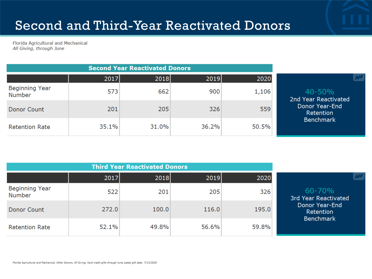Florida Agricultural and Mechanical All Giving, through June

| <b>Second Year Reactivated Donors</b>  |       |       |       |       |                                    |
|----------------------------------------|-------|-------|-------|-------|------------------------------------|
|                                        | 2017  | 2018  | 2019  | 2020  |                                    |
| <b>Beginning Year</b><br><b>Number</b> | 573   | 662   | 900   | 1,106 | $40 - 50%$<br>2nd Year Reactivated |
| Donor Count                            | 201   | 205   | 326   | 559   | Donor Year-End<br>Retention        |
| <b>Retention Rate</b>                  | 35.1% | 31.0% | 36.2% | 50.5% | <b>Benchmark</b>                   |

|                                        | 2017  | 2018  | 2019  | 2020  |                                                 |
|----------------------------------------|-------|-------|-------|-------|-------------------------------------------------|
| <b>Beginning Year</b><br><b>Number</b> | 522   | 201   | 205   | 326   | $60 - 70%$<br>3rd Year Reactivated              |
| Donor Count                            | 272.0 | 100.0 | 116.0 | 195.0 | Donor Year-End<br>Retention<br><b>Benchmark</b> |
| <b>Retention Rate</b>                  | 52.1% | 49.8% | 56.6% | 59.8% |                                                 |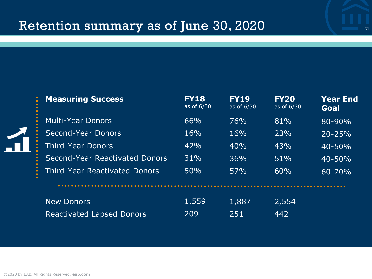## Retention summary as of June 30, 2020

| <b>Measuring Success</b>             | <b>FY18</b><br>as of 6/30 | <b>FY19</b><br>as of 6/30 | <b>FY20</b><br>as of 6/30 | Year End<br>Goal |
|--------------------------------------|---------------------------|---------------------------|---------------------------|------------------|
| Multi-Year Donors                    | 66%                       | 76%                       | 81%                       | $80 - 90%$       |
| Second-Year Donors                   | 16%                       | 16%                       | 23%                       | $20 - 25%$       |
| <b>Third-Year Donors</b>             | 42%                       | 40%                       | 43%                       | $40 - 50%$       |
| Second-Year Reactivated Donors       | 31%                       | 36%                       | 51%                       | $40 - 50%$       |
| <b>Third-Year Reactivated Donors</b> | 50%                       | 57%                       | 60%                       | $60 - 70%$       |
|                                      |                           |                           |                           |                  |
| <b>New Donors</b>                    | 1,559                     | 1,887                     | 2,554                     |                  |
| <b>Reactivated Lapsed Donors</b>     | 209                       | 251                       | 442                       |                  |

21

 $\Lambda$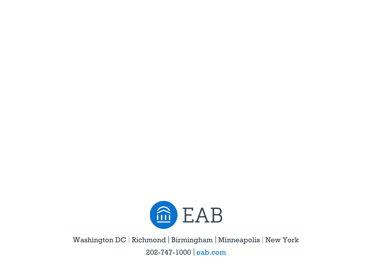

Washington DC | Richmond | Birmingham | Minneapolis | New York 202-747-1000 eab.com